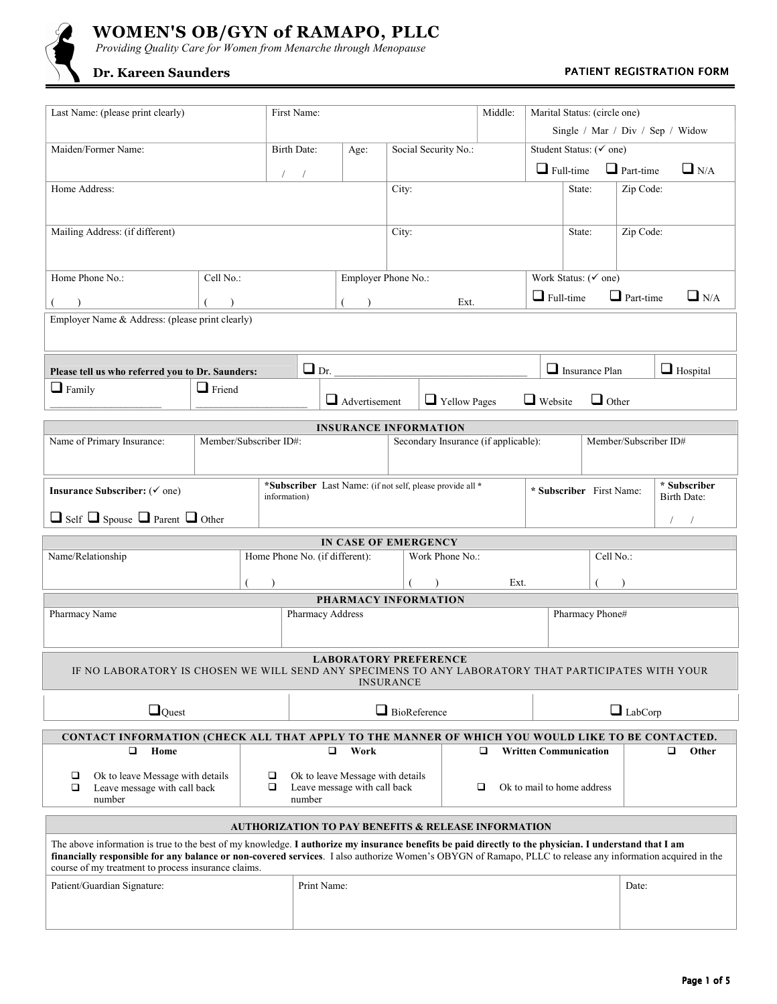

# **WOMEN'S OB/GYN of RAMAPO, PLLC**

 *Providing Quality Care for Women from Menarche through Menopause* 

## **Dr. Kareen Saunders** *PATIENT REGISTRATION FORM PATIENT REGISTRATION FORM*

| Last Name: (please print clearly)                                                                                                                                                                                                                                                                                                                                           |                        |              | First Name:                                 |                                                           |                      | Middle:         | Marital Status: (circle one)<br>Single / Mar / Div / Sep / Widow |                                                    |                              |  |                                |                             |                 |  |
|-----------------------------------------------------------------------------------------------------------------------------------------------------------------------------------------------------------------------------------------------------------------------------------------------------------------------------------------------------------------------------|------------------------|--------------|---------------------------------------------|-----------------------------------------------------------|----------------------|-----------------|------------------------------------------------------------------|----------------------------------------------------|------------------------------|--|--------------------------------|-----------------------------|-----------------|--|
| Maiden/Former Name:                                                                                                                                                                                                                                                                                                                                                         |                        |              | Birth Date:                                 | Age:                                                      | Social Security No.: |                 |                                                                  |                                                    | Student Status: (√ one)      |  |                                |                             |                 |  |
| $\sqrt{2}$                                                                                                                                                                                                                                                                                                                                                                  |                        |              |                                             |                                                           |                      |                 |                                                                  | $\Box$ Full-time $\Box$ Part-time                  |                              |  | $\Box$ N/A                     |                             |                 |  |
| Home Address:                                                                                                                                                                                                                                                                                                                                                               |                        |              |                                             |                                                           | City:                |                 |                                                                  |                                                    | State:                       |  |                                | Zip Code:                   |                 |  |
|                                                                                                                                                                                                                                                                                                                                                                             |                        |              |                                             |                                                           |                      |                 |                                                                  |                                                    |                              |  |                                |                             |                 |  |
| Mailing Address: (if different)                                                                                                                                                                                                                                                                                                                                             |                        |              |                                             | City:                                                     |                      |                 |                                                                  |                                                    | State:                       |  |                                |                             | Zip Code:       |  |
|                                                                                                                                                                                                                                                                                                                                                                             |                        |              |                                             |                                                           |                      |                 |                                                                  |                                                    |                              |  |                                |                             |                 |  |
| Home Phone No.:<br>Cell No.:                                                                                                                                                                                                                                                                                                                                                |                        |              |                                             | Employer Phone No.:                                       |                      |                 |                                                                  |                                                    |                              |  | Work Status: $(\check{ }$ one) |                             |                 |  |
| $\lambda$                                                                                                                                                                                                                                                                                                                                                                   |                        |              |                                             | Ext.<br>$\lambda$                                         |                      |                 |                                                                  | $\Box$ Part-time<br>$\Box$ N/A<br>$\Box$ Full-time |                              |  |                                |                             |                 |  |
| Employer Name & Address: (please print clearly)                                                                                                                                                                                                                                                                                                                             |                        |              |                                             |                                                           |                      |                 |                                                                  |                                                    |                              |  |                                |                             |                 |  |
|                                                                                                                                                                                                                                                                                                                                                                             |                        |              |                                             |                                                           |                      |                 |                                                                  |                                                    |                              |  |                                |                             |                 |  |
| Please tell us who referred you to Dr. Saunders:                                                                                                                                                                                                                                                                                                                            |                        |              |                                             | $\Box$ Dr.                                                |                      |                 |                                                                  |                                                    |                              |  | $\Box$ Insurance Plan          |                             | $\Box$ Hospital |  |
| $\Box$ Family                                                                                                                                                                                                                                                                                                                                                               | $\Box$ Friend          |              |                                             |                                                           |                      |                 |                                                                  |                                                    |                              |  |                                |                             |                 |  |
|                                                                                                                                                                                                                                                                                                                                                                             |                        |              |                                             | $\Box$ Advertisement                                      |                      |                 | $\Box$ Yellow Pages                                              |                                                    | $\Box$ Website               |  | $\Box$ Other                   |                             |                 |  |
|                                                                                                                                                                                                                                                                                                                                                                             |                        |              |                                             | <b>INSURANCE INFORMATION</b>                              |                      |                 |                                                                  |                                                    |                              |  |                                |                             |                 |  |
| Name of Primary Insurance:                                                                                                                                                                                                                                                                                                                                                  | Member/Subscriber ID#: |              |                                             |                                                           |                      |                 |                                                                  | Secondary Insurance (if applicable):               | Member/Subscriber ID#        |  |                                |                             |                 |  |
|                                                                                                                                                                                                                                                                                                                                                                             |                        |              |                                             |                                                           |                      |                 |                                                                  |                                                    |                              |  |                                |                             |                 |  |
| Insurance Subscriber: (√ one)                                                                                                                                                                                                                                                                                                                                               |                        |              |                                             | *Subscriber Last Name: (if not self, please provide all * |                      |                 |                                                                  | * Subscriber First Name:                           |                              |  |                                | * Subscriber<br>Birth Date: |                 |  |
|                                                                                                                                                                                                                                                                                                                                                                             |                        | information) |                                             |                                                           |                      |                 |                                                                  |                                                    |                              |  |                                |                             |                 |  |
| $\Box$ Self $\Box$ Spouse $\Box$ Parent $\Box$ Other<br>$\sqrt{2}$<br>$\sqrt{2}$                                                                                                                                                                                                                                                                                            |                        |              |                                             |                                                           |                      |                 |                                                                  |                                                    |                              |  |                                |                             |                 |  |
| Name/Relationship                                                                                                                                                                                                                                                                                                                                                           |                        |              |                                             | IN CASE OF EMERGENCY<br>Home Phone No. (if different):    |                      | Work Phone No.: |                                                                  |                                                    |                              |  | Cell No.:                      |                             |                 |  |
|                                                                                                                                                                                                                                                                                                                                                                             |                        |              |                                             |                                                           |                      |                 |                                                                  |                                                    |                              |  |                                |                             |                 |  |
|                                                                                                                                                                                                                                                                                                                                                                             |                        |              |                                             |                                                           |                      |                 |                                                                  | Ext.                                               |                              |  |                                |                             |                 |  |
| PHARMACY INFORMATION<br>Pharmacy Name<br>Pharmacy Phone#<br>Pharmacy Address                                                                                                                                                                                                                                                                                                |                        |              |                                             |                                                           |                      |                 |                                                                  |                                                    |                              |  |                                |                             |                 |  |
|                                                                                                                                                                                                                                                                                                                                                                             |                        |              |                                             |                                                           |                      |                 |                                                                  |                                                    |                              |  |                                |                             |                 |  |
|                                                                                                                                                                                                                                                                                                                                                                             |                        |              |                                             |                                                           |                      |                 |                                                                  |                                                    |                              |  |                                |                             |                 |  |
| <b>LABORATORY PREFERENCE</b><br>IF NO LABORATORY IS CHOSEN WE WILL SEND ANY SPECIMENS TO ANY LABORATORY THAT PARTICIPATES WITH YOUR<br><b>INSURANCE</b>                                                                                                                                                                                                                     |                        |              |                                             |                                                           |                      |                 |                                                                  |                                                    |                              |  |                                |                             |                 |  |
| $\Box_{\text{Quest}}$                                                                                                                                                                                                                                                                                                                                                       |                        |              |                                             | $\Box$ BioReference                                       |                      |                 |                                                                  | $\Box$ LabCorp                                     |                              |  |                                |                             |                 |  |
| CONTACT INFORMATION (CHECK ALL THAT APPLY TO THE MANNER OF WHICH YOU WOULD LIKE TO BE CONTACTED.                                                                                                                                                                                                                                                                            |                        |              |                                             |                                                           |                      |                 |                                                                  |                                                    |                              |  |                                |                             |                 |  |
| □<br>Home                                                                                                                                                                                                                                                                                                                                                                   |                        |              |                                             | Work<br>❏                                                 |                      |                 |                                                                  | ◘                                                  | <b>Written Communication</b> |  |                                |                             | □<br>Other      |  |
| ❏<br>Ok to leave Message with details                                                                                                                                                                                                                                                                                                                                       |                        | □            |                                             | Ok to leave Message with details                          |                      |                 |                                                                  |                                                    |                              |  |                                |                             |                 |  |
| □<br>Leave message with call back<br>❏<br>number                                                                                                                                                                                                                                                                                                                            |                        |              | Leave message with call back<br>❏<br>number |                                                           |                      |                 |                                                                  | Ok to mail to home address                         |                              |  |                                |                             |                 |  |
|                                                                                                                                                                                                                                                                                                                                                                             |                        |              |                                             |                                                           |                      |                 |                                                                  |                                                    |                              |  |                                |                             |                 |  |
| <b>AUTHORIZATION TO PAY BENEFITS &amp; RELEASE INFORMATION</b>                                                                                                                                                                                                                                                                                                              |                        |              |                                             |                                                           |                      |                 |                                                                  |                                                    |                              |  |                                |                             |                 |  |
| The above information is true to the best of my knowledge. I authorize my insurance benefits be paid directly to the physician. I understand that I am<br>financially responsible for any balance or non-covered services. I also authorize Women's OBYGN of Ramapo, PLLC to release any information acquired in the<br>course of my treatment to process insurance claims. |                        |              |                                             |                                                           |                      |                 |                                                                  |                                                    |                              |  |                                |                             |                 |  |
| Patient/Guardian Signature:                                                                                                                                                                                                                                                                                                                                                 |                        |              | Print Name:                                 |                                                           |                      |                 |                                                                  |                                                    |                              |  |                                | Date:                       |                 |  |
|                                                                                                                                                                                                                                                                                                                                                                             |                        |              |                                             |                                                           |                      |                 |                                                                  |                                                    |                              |  |                                |                             |                 |  |
|                                                                                                                                                                                                                                                                                                                                                                             |                        |              |                                             |                                                           |                      |                 |                                                                  |                                                    |                              |  |                                |                             |                 |  |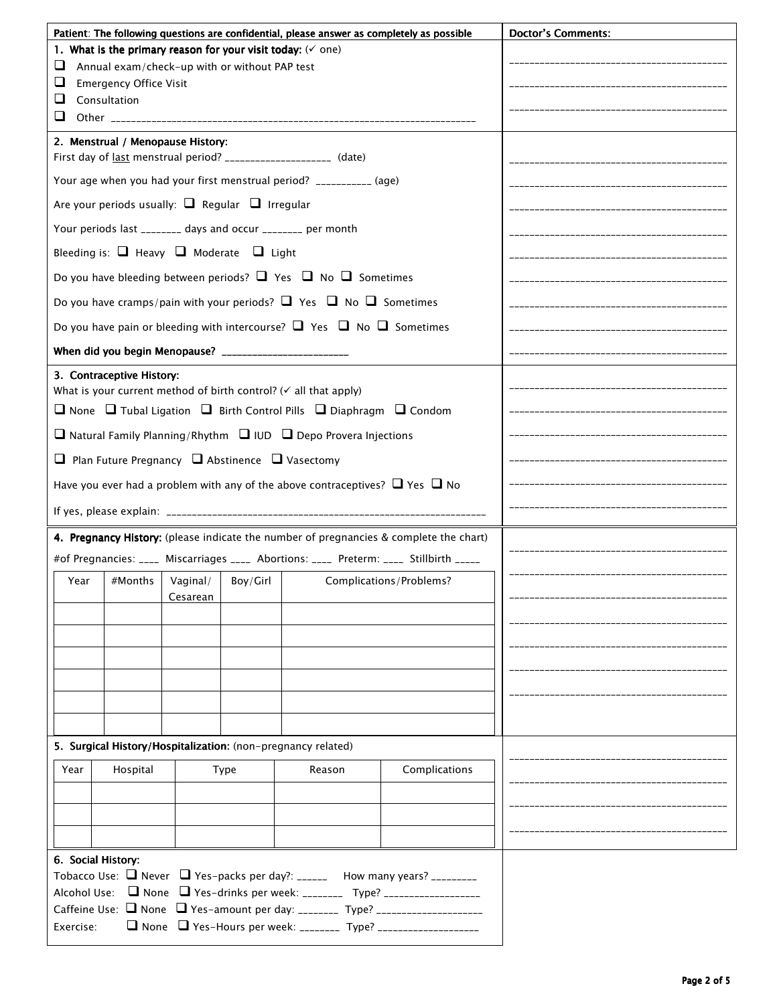| Patient: The following questions are confidential, please answer as completely as possible                |                                                 |                                      |  |  | <b>Doctor's Comments:</b> |  |  |  |  |
|-----------------------------------------------------------------------------------------------------------|-------------------------------------------------|--------------------------------------|--|--|---------------------------|--|--|--|--|
| 1. What is the primary reason for your visit today: $(\check{ } )$ one)                                   |                                                 |                                      |  |  |                           |  |  |  |  |
| ⊔<br>Annual exam/check-up with or without PAP test                                                        |                                                 |                                      |  |  |                           |  |  |  |  |
| ⊔<br><b>Emergency Office Visit</b><br>u<br>Consultation                                                   |                                                 |                                      |  |  |                           |  |  |  |  |
| ❏                                                                                                         |                                                 |                                      |  |  |                           |  |  |  |  |
|                                                                                                           |                                                 |                                      |  |  |                           |  |  |  |  |
| 2. Menstrual / Menopause History:<br>First day of last menstrual period? ____________________ (date)      |                                                 |                                      |  |  |                           |  |  |  |  |
| Your age when you had your first menstrual period? ___________ (age)                                      |                                                 |                                      |  |  |                           |  |  |  |  |
| Are your periods usually: $\Box$ Regular $\Box$ Irregular                                                 |                                                 |                                      |  |  |                           |  |  |  |  |
| Your periods last ________ days and occur ________ per month                                              |                                                 |                                      |  |  |                           |  |  |  |  |
| Bleeding is: $\Box$ Heavy $\Box$ Moderate $\Box$ Light                                                    |                                                 |                                      |  |  |                           |  |  |  |  |
| Do you have bleeding between periods? $\Box$ Yes $\Box$ No $\Box$ Sometimes                               |                                                 |                                      |  |  |                           |  |  |  |  |
| Do you have cramps/pain with your periods? $\Box$ Yes $\Box$ No $\Box$ Sometimes                          |                                                 |                                      |  |  |                           |  |  |  |  |
| Do you have pain or bleeding with intercourse? $\Box$ Yes $\Box$ No $\Box$ Sometimes                      |                                                 |                                      |  |  |                           |  |  |  |  |
| When did you begin Menopause? _________________________                                                   |                                                 |                                      |  |  |                           |  |  |  |  |
|                                                                                                           |                                                 |                                      |  |  |                           |  |  |  |  |
| 3. Contraceptive History:<br>What is your current method of birth control? ( $\checkmark$ all that apply) |                                                 |                                      |  |  |                           |  |  |  |  |
| $\Box$ None $\Box$ Tubal Ligation $\Box$ Birth Control Pills $\Box$ Diaphragm $\Box$ Condom               |                                                 |                                      |  |  |                           |  |  |  |  |
| $\Box$ Natural Family Planning/Rhythm $\Box$ IUD $\Box$ Depo Provera Injections                           |                                                 |                                      |  |  |                           |  |  |  |  |
| $\Box$ Plan Future Pregnancy $\Box$ Abstinence $\Box$ Vasectomy                                           |                                                 |                                      |  |  |                           |  |  |  |  |
| Have you ever had a problem with any of the above contraceptives? $\Box$ Yes $\Box$ No                    |                                                 |                                      |  |  |                           |  |  |  |  |
|                                                                                                           |                                                 |                                      |  |  |                           |  |  |  |  |
| 4. Pregnancy History: (please indicate the number of pregnancies & complete the chart)                    |                                                 |                                      |  |  |                           |  |  |  |  |
| #of Pregnancies: ____ Miscarriages ____ Abortions: ____ Preterm: ____ Stillbirth _____                    |                                                 |                                      |  |  |                           |  |  |  |  |
| #Months<br>Year                                                                                           | Vaginal/                                        | ------------------------------------ |  |  |                           |  |  |  |  |
|                                                                                                           | Boy/Girl<br>Complications/Problems?<br>Cesarean |                                      |  |  |                           |  |  |  |  |
|                                                                                                           |                                                 |                                      |  |  |                           |  |  |  |  |
|                                                                                                           |                                                 |                                      |  |  |                           |  |  |  |  |
|                                                                                                           |                                                 |                                      |  |  |                           |  |  |  |  |
|                                                                                                           |                                                 |                                      |  |  |                           |  |  |  |  |
|                                                                                                           |                                                 |                                      |  |  |                           |  |  |  |  |
|                                                                                                           |                                                 |                                      |  |  |                           |  |  |  |  |
| 5. Surgical History/Hospitalization: (non-pregnancy related)                                              |                                                 |                                      |  |  |                           |  |  |  |  |
| Year<br>Hospital<br>Reason<br>Complications<br><b>Type</b>                                                |                                                 |                                      |  |  |                           |  |  |  |  |
|                                                                                                           |                                                 |                                      |  |  |                           |  |  |  |  |
|                                                                                                           |                                                 |                                      |  |  |                           |  |  |  |  |
|                                                                                                           |                                                 |                                      |  |  |                           |  |  |  |  |
| 6. Social History:                                                                                        |                                                 |                                      |  |  |                           |  |  |  |  |
| Tobacco Use: $\Box$ Never $\Box$ Yes-packs per day?: ______ How many years? _________                     |                                                 |                                      |  |  |                           |  |  |  |  |
| Alcohol Use: ■ None ■ Yes-drinks per week: ________ Type? _____________________                           |                                                 |                                      |  |  |                           |  |  |  |  |
| Caffeine Use: None Ves-amount per day: ________ Type? ____________________                                |                                                 |                                      |  |  |                           |  |  |  |  |
| Exercise:                                                                                                 |                                                 |                                      |  |  |                           |  |  |  |  |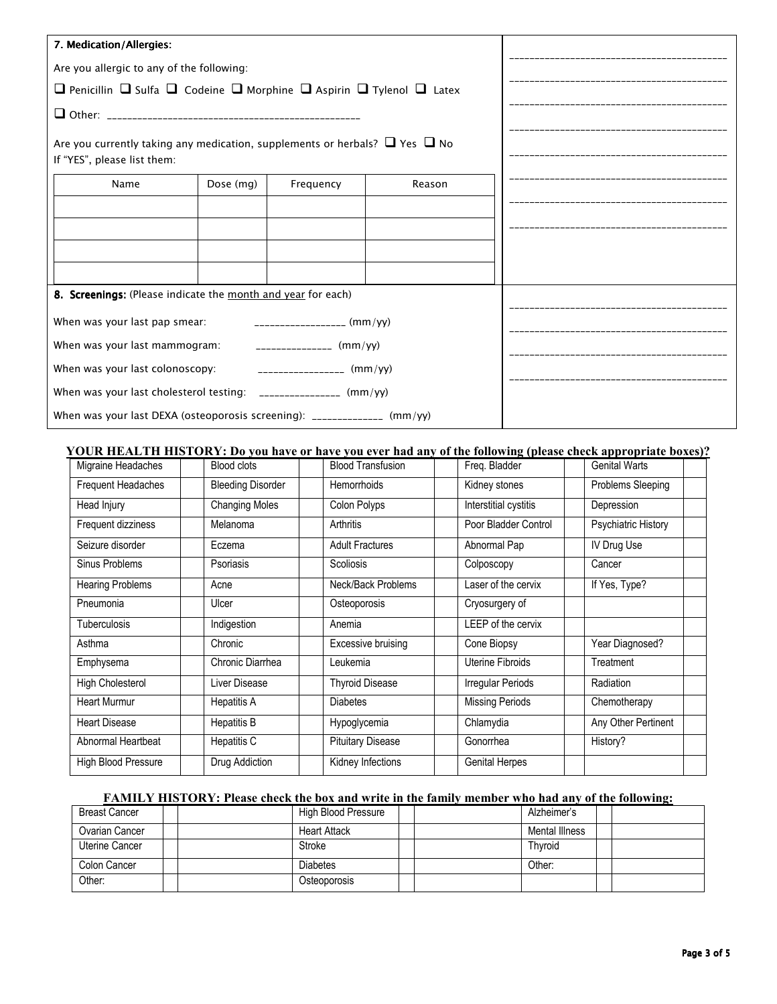| 7. Medication/Allergies:                                                                                             |                             |           |        |  |
|----------------------------------------------------------------------------------------------------------------------|-----------------------------|-----------|--------|--|
| Are you allergic to any of the following:                                                                            |                             |           |        |  |
| $\Box$ Penicillin $\Box$ Sulfa $\Box$ Codeine $\Box$ Morphine $\Box$ Aspirin $\Box$ Tylenol $\Box$ Latex             |                             |           |        |  |
|                                                                                                                      |                             |           |        |  |
| Are you currently taking any medication, supplements or herbals? $\Box$ Yes $\Box$ No<br>If "YES", please list them: |                             |           |        |  |
| Name                                                                                                                 | Dose (mg)                   | Frequency | Reason |  |
|                                                                                                                      |                             |           |        |  |
|                                                                                                                      |                             |           |        |  |
|                                                                                                                      |                             |           |        |  |
|                                                                                                                      |                             |           |        |  |
| 8. Screenings: (Please indicate the month and year for each)                                                         |                             |           |        |  |
| When was your last pap smear:                                                                                        | ___________________ (mm/yy) |           |        |  |
| When was your last mammogram: $\qquad \qquad$ _______________ (mm/yy)                                                |                             |           |        |  |
| When was your last colonoscopy:                                                                                      | $\frac{1}{2}$ (mm/yy)       |           |        |  |
| When was your last cholesterol testing: ________________ (mm/yy)                                                     |                             |           |        |  |
| When was your last DEXA (osteoporosis screening): _____________ (mm/yy)                                              |                             |           |        |  |

### **YOUR HEALTH HISTORY: Do you have or have you ever had any of the following (please check appropriate boxes)?**

| Migraine Headaches         | <b>Blood clots</b>       | <b>Blood Transfusion</b> | Freq. Bladder            | <b>Genital Warts</b> |  |
|----------------------------|--------------------------|--------------------------|--------------------------|----------------------|--|
| <b>Frequent Headaches</b>  | <b>Bleeding Disorder</b> | <b>Hemorrhoids</b>       | Kidney stones            | Problems Sleeping    |  |
| Head Injury                | <b>Changing Moles</b>    | Colon Polyps             | Interstitial cystitis    | Depression           |  |
| Frequent dizziness         | Melanoma                 | Arthritis                | Poor Bladder Control     | Psychiatric History  |  |
| Seizure disorder           | Eczema                   | <b>Adult Fractures</b>   | Abnormal Pap             | IV Drug Use          |  |
| Sinus Problems             | Psoriasis                | <b>Scoliosis</b>         | Colposcopy               | Cancer               |  |
| <b>Hearing Problems</b>    | Acne                     | Neck/Back Problems       | Laser of the cervix      | If Yes, Type?        |  |
| Pneumonia                  | Ulcer                    | Osteoporosis             | Cryosurgery of           |                      |  |
| <b>Tuberculosis</b>        | Indigestion              | Anemia                   | LEEP of the cervix       |                      |  |
| Asthma                     | Chronic                  | Excessive bruising       | Cone Biopsy              | Year Diagnosed?      |  |
| Emphysema                  | Chronic Diarrhea         | Leukemia                 | Uterine Fibroids         | Treatment            |  |
| High Cholesterol           | Liver Disease            | <b>Thyroid Disease</b>   | <b>Irregular Periods</b> | Radiation            |  |
| <b>Heart Murmur</b>        | Hepatitis A              | <b>Diabetes</b>          | <b>Missing Periods</b>   | Chemotherapy         |  |
| <b>Heart Disease</b>       | <b>Hepatitis B</b>       | Hypoglycemia             | Chlamydia                | Any Other Pertinent  |  |
| Abnormal Heartbeat         | Hepatitis C              | <b>Pituitary Disease</b> | Gonorrhea                | History?             |  |
| <b>High Blood Pressure</b> | Drug Addiction           | Kidney Infections        | <b>Genital Herpes</b>    |                      |  |

### **FAMILY HISTORY: Please check the box and write in the family member who had any of the following:**

| <b>Breast Cancer</b> | High Blood Pressure | Alzheimer's    |  |
|----------------------|---------------------|----------------|--|
| Ovarian Cancer       | <b>Heart Attack</b> | Mental Illness |  |
| Uterine Cancer       | Stroke              | Thyroid        |  |
| Colon Cancer         | <b>Diabetes</b>     | Other:         |  |
| Other:               | Osteoporosis        |                |  |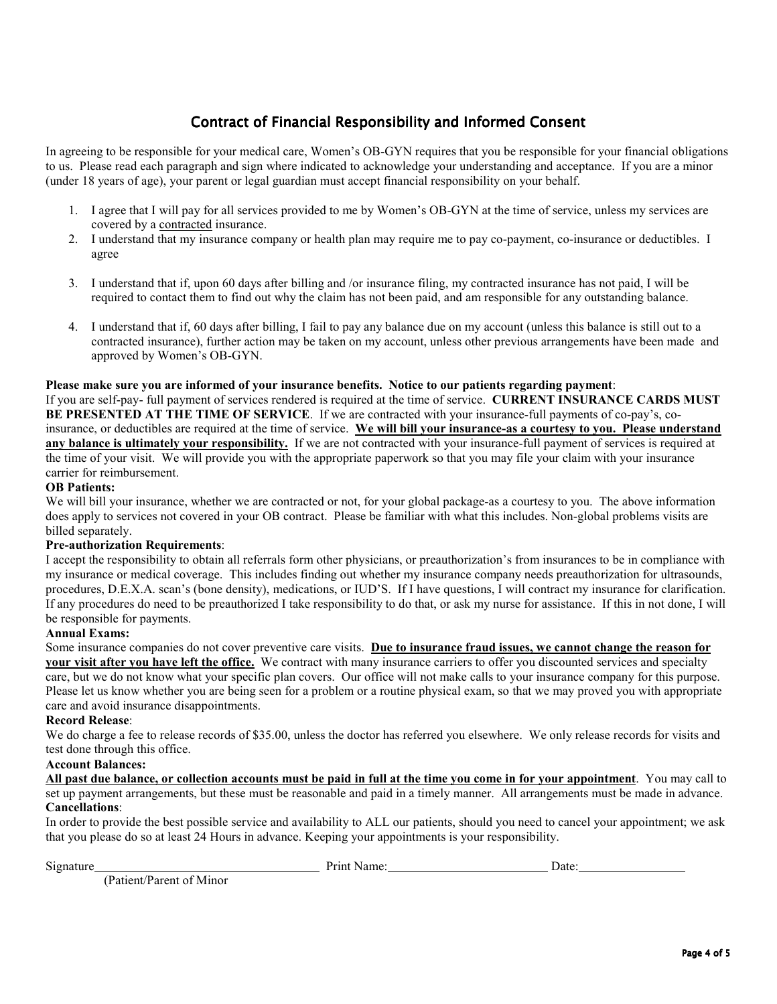# *Contract of Financial Responsibility and Informed Consent*

In agreeing to be responsible for your medical care, Women's OB-GYN requires that you be responsible for your financial obligations to us. Please read each paragraph and sign where indicated to acknowledge your understanding and acceptance. If you are a minor (under 18 years of age), your parent or legal guardian must accept financial responsibility on your behalf.

- 1. I agree that I will pay for all services provided to me by Women's OB-GYN at the time of service, unless my services are covered by a contracted insurance.
- 2. I understand that my insurance company or health plan may require me to pay co-payment, co-insurance or deductibles. I agree
- 3. I understand that if, upon 60 days after billing and /or insurance filing, my contracted insurance has not paid, I will be required to contact them to find out why the claim has not been paid, and am responsible for any outstanding balance.
- 4. I understand that if, 60 days after billing, I fail to pay any balance due on my account (unless this balance is still out to a contracted insurance), further action may be taken on my account, unless other previous arrangements have been made and approved by Women's OB-GYN.

#### **Please make sure you are informed of your insurance benefits. Notice to our patients regarding payment**:

If you are self-pay- full payment of services rendered is required at the time of service. **CURRENT INSURANCE CARDS MUST BE PRESENTED AT THE TIME OF SERVICE**. If we are contracted with your insurance-full payments of co-pay's, coinsurance, or deductibles are required at the time of service. **We will bill your insurance-as a courtesy to you. Please understand any balance is ultimately your responsibility.** If we are not contracted with your insurance-full payment of services is required at the time of your visit. We will provide you with the appropriate paperwork so that you may file your claim with your insurance carrier for reimbursement.

#### **OB Patients:**

We will bill your insurance, whether we are contracted or not, for your global package-as a courtesy to you. The above information does apply to services not covered in your OB contract. Please be familiar with what this includes. Non-global problems visits are billed separately.

#### **Pre-authorization Requirements**:

I accept the responsibility to obtain all referrals form other physicians, or preauthorization's from insurances to be in compliance with my insurance or medical coverage. This includes finding out whether my insurance company needs preauthorization for ultrasounds, procedures, D.E.X.A. scan's (bone density), medications, or IUD'S. If I have questions, I will contract my insurance for clarification. If any procedures do need to be preauthorized I take responsibility to do that, or ask my nurse for assistance. If this in not done, I will be responsible for payments.

#### **Annual Exams:**

Some insurance companies do not cover preventive care visits. **Due to insurance fraud issues, we cannot change the reason for your visit after you have left the office.** We contract with many insurance carriers to offer you discounted services and specialty care, but we do not know what your specific plan covers. Our office will not make calls to your insurance company for this purpose. Please let us know whether you are being seen for a problem or a routine physical exam, so that we may proved you with appropriate care and avoid insurance disappointments.

#### **Record Release**:

We do charge a fee to release records of \$35.00, unless the doctor has referred you elsewhere. We only release records for visits and test done through this office.

#### **Account Balances:**

**All past due balance, or collection accounts must be paid in full at the time you come in for your appointment**. You may call to set up payment arrangements, but these must be reasonable and paid in a timely manner. All arrangements must be made in advance. **Cancellations**:

In order to provide the best possible service and availability to ALL our patients, should you need to cancel your appointment; we ask that you please do so at least 24 Hours in advance. Keeping your appointments is your responsibility.

Signature Date: Determined Date: Date: Date: Date: Date: Date:

(Patient/Parent of Minor